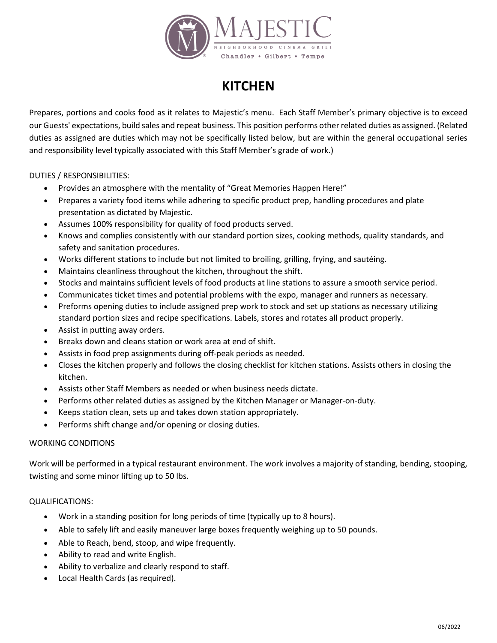

## **KITCHEN**

Prepares, portions and cooks food as it relates to Majestic's menu. Each Staff Member's primary objective is to exceed our Guests' expectations, build sales and repeat business. This position performs other related duties as assigned. (Related duties as assigned are duties which may not be specifically listed below, but are within the general occupational series and responsibility level typically associated with this Staff Member's grade of work.)

DUTIES / RESPONSIBILITIES:

- Provides an atmosphere with the mentality of "Great Memories Happen Here!"
- Prepares a variety food items while adhering to specific product prep, handling procedures and plate presentation as dictated by Majestic.
- Assumes 100% responsibility for quality of food products served.
- Knows and complies consistently with our standard portion sizes, cooking methods, quality standards, and safety and sanitation procedures.
- Works different stations to include but not limited to broiling, grilling, frying, and sautéing.
- Maintains cleanliness throughout the kitchen, throughout the shift.
- Stocks and maintains sufficient levels of food products at line stations to assure a smooth service period.
- Communicates ticket times and potential problems with the expo, manager and runners as necessary.
- Preforms opening duties to include assigned prep work to stock and set up stations as necessary utilizing standard portion sizes and recipe specifications. Labels, stores and rotates all product properly.
- Assist in putting away orders.
- Breaks down and cleans station or work area at end of shift.
- Assists in food prep assignments during off-peak periods as needed.
- Closes the kitchen properly and follows the closing checklist for kitchen stations. Assists others in closing the kitchen.
- Assists other Staff Members as needed or when business needs dictate.
- Performs other related duties as assigned by the Kitchen Manager or Manager-on-duty.
- Keeps station clean, sets up and takes down station appropriately.
- Performs shift change and/or opening or closing duties.

## WORKING CONDITIONS

Work will be performed in a typical restaurant environment. The work involves a majority of standing, bending, stooping, twisting and some minor lifting up to 50 lbs.

## QUALIFICATIONS:

- Work in a standing position for long periods of time (typically up to 8 hours).
- Able to safely lift and easily maneuver large boxes frequently weighing up to 50 pounds.
- Able to Reach, bend, stoop, and wipe frequently.
- Ability to read and write English.
- Ability to verbalize and clearly respond to staff.
- Local Health Cards (as required).